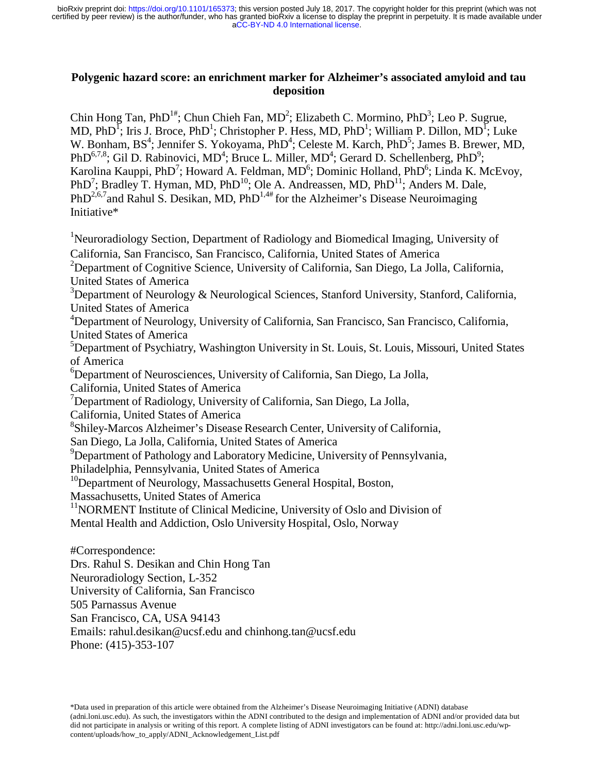# **Polygenic hazard score: an enrichment marker for Alzheimer's associated amyloid and tau deposition**

Chin Hong Tan, Ph $D^{1\#}$ ; Chun Chieh Fan, M $D^2$ ; Elizabeth C. Mormino, Ph $D^3$ ; Leo P. Sugrue, MD, PhD<sup>I</sup>; Iris J. Broce, PhD<sup>1</sup>; Christopher P. Hess, MD, PhD<sup>1</sup>; William P. Dillon, MD<sup>I</sup>; Luke W. Bonham, BS<sup>4</sup>; Jennifer S. Yokoyama, PhD<sup>4</sup>; Celeste M. Karch, PhD<sup>5</sup>; James B. Brewer, MD, PhD<sup>6,7,8</sup>; Gil D. Rabinovici, MD<sup>4</sup>; Bruce L. Miller, MD<sup>4</sup>; Gerard D. Schellenberg, PhD<sup>9</sup>; Karolina Kauppi, PhD<sup>7</sup>; Howard A. Feldman, MD<sup>6</sup>; Dominic Holland, PhD<sup>6</sup>; Linda K. McEvoy, PhD<sup>7</sup>; Bradley T. Hyman, MD, PhD<sup>10</sup>; Ole A. Andreassen, MD, PhD<sup>11</sup>; Anders M. Dale, PhD<sup>2,6,7</sup>and Rahul S. Desikan, MD, PhD<sup>1,4#</sup> for the Alzheimer's Disease Neuroimaging Initiative\*

<sup>1</sup>Neuroradiology Section, Department of Radiology and Biomedical Imaging, University of California, San Francisco, San Francisco, California, United States of America <sup>2</sup>Department of Cognitive Science, University of California, San Diego, La Jolla, California, United States of America <sup>3</sup>Department of Neurology & Neurological Sciences, Stanford University, Stanford, California, United States of America <sup>4</sup>Department of Neurology, University of California, San Francisco, San Francisco, California, United States of America <sup>5</sup>Department of Psychiatry, Washington University in St. Louis, St. Louis, Missouri, United States of America 6 Department of Neurosciences, University of California, San Diego, La Jolla, California, United States of America <sup>7</sup>Department of Radiology, University of California, San Diego, La Jolla, California, United States of America 8 Shiley-Marcos Alzheimer's Disease Research Center, University of California, San Diego, La Jolla, California, United States of America <sup>9</sup>Department of Pathology and Laboratory Medicine, University of Pennsylvania, Philadelphia, Pennsylvania, United States of America <sup>10</sup>Department of Neurology, Massachusetts General Hospital, Boston, Massachusetts, United States of America <sup>11</sup>NORMENT Institute of Clinical Medicine, University of Oslo and Division of Mental Health and Addiction, Oslo University Hospital, Oslo, Norway #Correspondence: Drs. Rahul S. Desikan and Chin Hong Tan

Neuroradiology Section, L-352 University of California, San Francisco 505 Parnassus Avenue San Francisco, CA, USA 94143 Emails: rahul.desikan@ucsf.edu and chinhong.tan@ucsf.edu Phone: (415)-353-107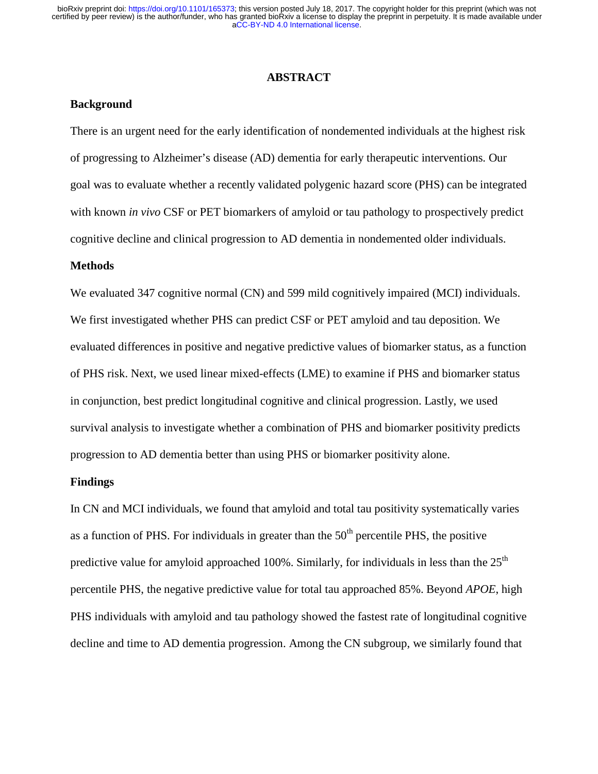## **ABSTRACT**

# **Background**

There is an urgent need for the early identification of nondemented individuals at the highest risk of progressing to Alzheimer's disease (AD) dementia for early therapeutic interventions. Our goal was to evaluate whether a recently validated polygenic hazard score (PHS) can be integrated with known *in vivo* CSF or PET biomarkers of amyloid or tau pathology to prospectively predict cognitive decline and clinical progression to AD dementia in nondemented older individuals.

## **Methods**

We evaluated 347 cognitive normal (CN) and 599 mild cognitively impaired (MCI) individuals. We first investigated whether PHS can predict CSF or PET amyloid and tau deposition. We evaluated differences in positive and negative predictive values of biomarker status, as a function of PHS risk. Next, we used linear mixed-effects (LME) to examine if PHS and biomarker status in conjunction, best predict longitudinal cognitive and clinical progression. Lastly, we used survival analysis to investigate whether a combination of PHS and biomarker positivity predicts progression to AD dementia better than using PHS or biomarker positivity alone.

## **Findings**

In CN and MCI individuals, we found that amyloid and total tau positivity systematically varies as a function of PHS. For individuals in greater than the  $50<sup>th</sup>$  percentile PHS, the positive predictive value for amyloid approached 100%. Similarly, for individuals in less than the  $25<sup>th</sup>$ percentile PHS, the negative predictive value for total tau approached 85%. Beyond *APOE*, high PHS individuals with amyloid and tau pathology showed the fastest rate of longitudinal cognitive decline and time to AD dementia progression. Among the CN subgroup, we similarly found that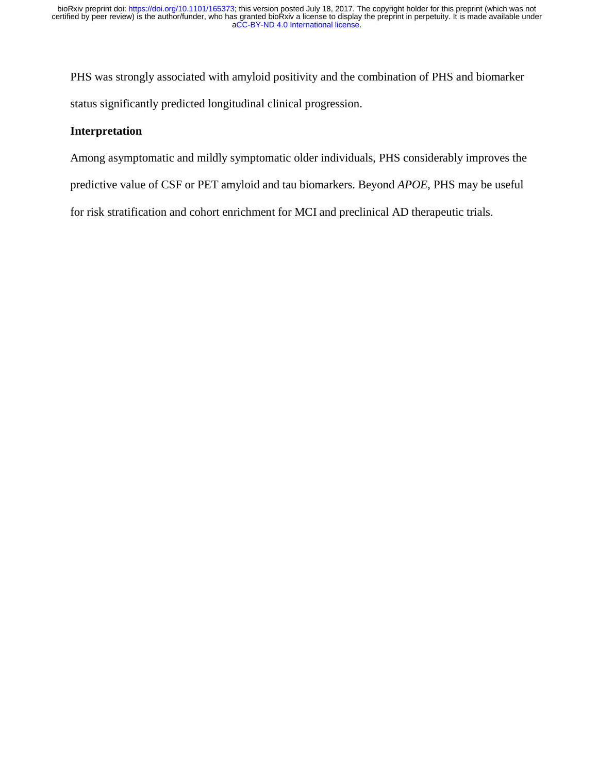PHS was strongly associated with amyloid positivity and the combination of PHS and biomarker status significantly predicted longitudinal clinical progression.

# **Interpretation**

Among asymptomatic and mildly symptomatic older individuals, PHS considerably improves the

predictive value of CSF or PET amyloid and tau biomarkers. Beyond *APOE*, PHS may be useful

for risk stratification and cohort enrichment for MCI and preclinical AD therapeutic trials.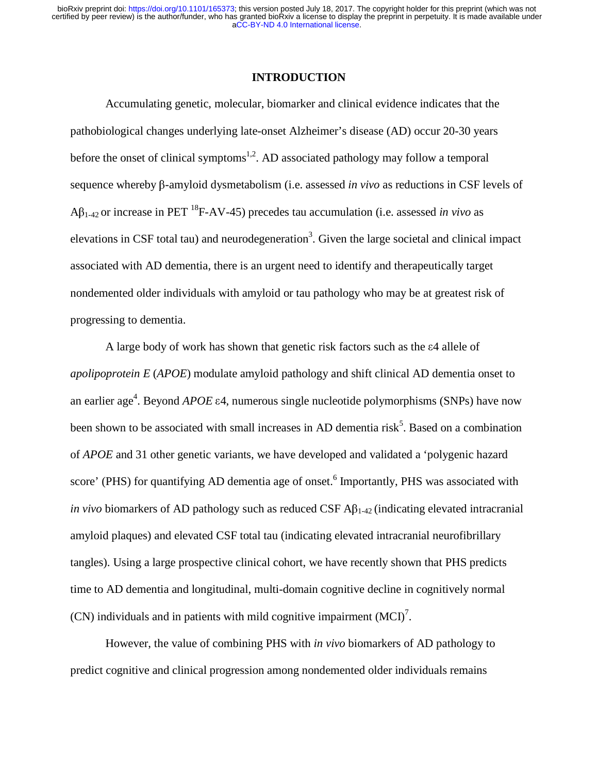# **INTRODUCTION**

 Accumulating genetic, molecular, biomarker and clinical evidence indicates that the pathobiological changes underlying late-onset Alzheimer's disease (AD) occur 20-30 years before the onset of clinical symptoms<sup>1,2</sup>. AD associated pathology may follow a temporal sequence whereby β-amyloid dysmetabolism (i.e. assessed *in vivo* as reductions in CSF levels of  $A\beta_{1-42}$  or increase in PET <sup>18</sup>F-AV-45) precedes tau accumulation (i.e. assessed *in vivo* as elevations in CSF total tau) and neurodegeneration<sup>3</sup>. Given the large societal and clinical impact associated with AD dementia, there is an urgent need to identify and therapeutically target nondemented older individuals with amyloid or tau pathology who may be at greatest risk of progressing to dementia.

A large body of work has shown that genetic risk factors such as the ε<sup>4</sup> allele of *apolipoprotein E* (*APOE*) modulate amyloid pathology and shift clinical AD dementia onset to an earlier age<sup>4</sup>. Beyond *APOE* ε4, numerous single nucleotide polymorphisms (SNPs) have now been shown to be associated with small increases in AD dementia risk<sup>5</sup>. Based on a combination of *APOE* and 31 other genetic variants, we have developed and validated a 'polygenic hazard score' (PHS) for quantifying AD dementia age of onset.<sup>6</sup> Importantly, PHS was associated with *in vivo* biomarkers of AD pathology such as reduced CSF  $\mathbf{A}\beta_{1-42}$  (indicating elevated intracranial amyloid plaques) and elevated CSF total tau (indicating elevated intracranial neurofibrillary tangles). Using a large prospective clinical cohort, we have recently shown that PHS predicts time to AD dementia and longitudinal, multi-domain cognitive decline in cognitively normal  $(CN)$  individuals and in patients with mild cognitive impairment  $(MCI)^7$ .

However, the value of combining PHS with *in vivo* biomarkers of AD pathology to predict cognitive and clinical progression among nondemented older individuals remains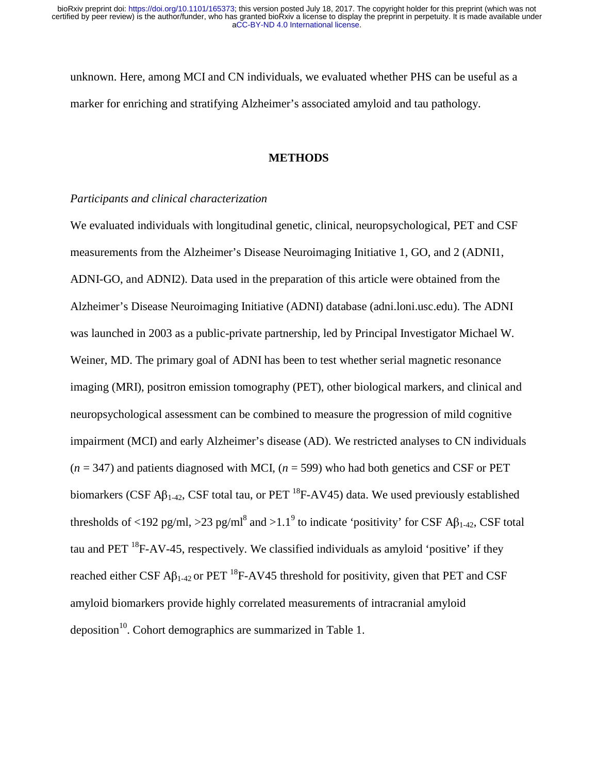unknown. Here, among MCI and CN individuals, we evaluated whether PHS can be useful as a marker for enriching and stratifying Alzheimer's associated amyloid and tau pathology.

# **METHODS**

## *Participants and clinical characterization*

We evaluated individuals with longitudinal genetic, clinical, neuropsychological, PET and CSF measurements from the Alzheimer's Disease Neuroimaging Initiative 1, GO, and 2 (ADNI1, ADNI-GO, and ADNI2). Data used in the preparation of this article were obtained from the Alzheimer's Disease Neuroimaging Initiative (ADNI) database (adni.loni.usc.edu). The ADNI was launched in 2003 as a public-private partnership, led by Principal Investigator Michael W. Weiner, MD. The primary goal of ADNI has been to test whether serial magnetic resonance imaging (MRI), positron emission tomography (PET), other biological markers, and clinical and neuropsychological assessment can be combined to measure the progression of mild cognitive impairment (MCI) and early Alzheimer's disease (AD). We restricted analyses to CN individuals  $(n = 347)$  and patients diagnosed with MCI,  $(n = 599)$  who had both genetics and CSF or PET biomarkers (CSF A $\beta_{1-42}$ , CSF total tau, or PET <sup>18</sup>F-AV45) data. We used previously established thresholds of <192 pg/ml, >23 pg/ml<sup>8</sup> and >1.1<sup>9</sup> to indicate 'positivity' for CSF A $\beta_{1-42}$ , CSF total tau and PET  $^{18}$ F-AV-45, respectively. We classified individuals as amyloid 'positive' if they reached either CSF  $\mathbf{A}\beta_{1-42}$  or PET <sup>18</sup>F-AV45 threshold for positivity, given that PET and CSF amyloid biomarkers provide highly correlated measurements of intracranial amyloid deposition<sup>10</sup>. Cohort demographics are summarized in Table 1.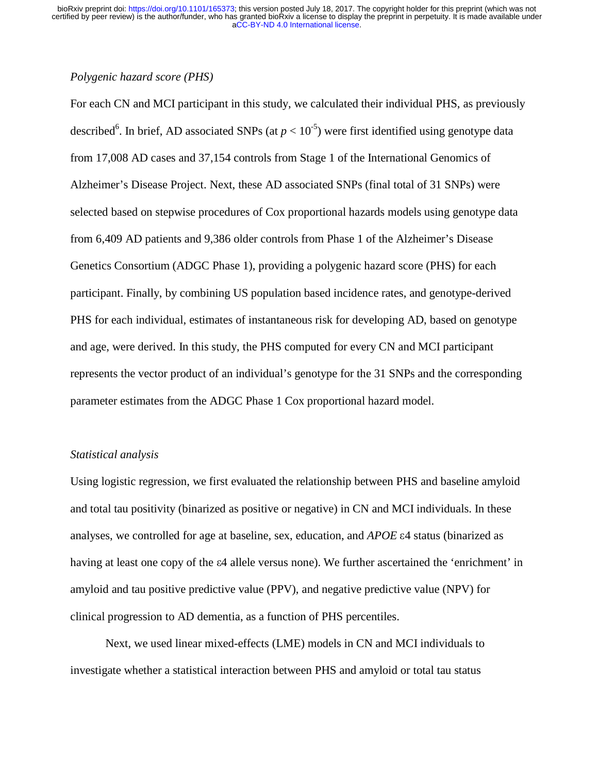# *Polygenic hazard score (PHS)*

For each CN and MCI participant in this study, we calculated their individual PHS, as previously described<sup>6</sup>. In brief, AD associated SNPs (at  $p < 10^{-5}$ ) were first identified using genotype data from 17,008 AD cases and 37,154 controls from Stage 1 of the International Genomics of Alzheimer's Disease Project. Next, these AD associated SNPs (final total of 31 SNPs) were selected based on stepwise procedures of Cox proportional hazards models using genotype data from 6,409 AD patients and 9,386 older controls from Phase 1 of the Alzheimer's Disease Genetics Consortium (ADGC Phase 1), providing a polygenic hazard score (PHS) for each participant. Finally, by combining US population based incidence rates, and genotype-derived PHS for each individual, estimates of instantaneous risk for developing AD, based on genotype and age, were derived. In this study, the PHS computed for every CN and MCI participant represents the vector product of an individual's genotype for the 31 SNPs and the corresponding parameter estimates from the ADGC Phase 1 Cox proportional hazard model.

## *Statistical analysis*

Using logistic regression, we first evaluated the relationship between PHS and baseline amyloid and total tau positivity (binarized as positive or negative) in CN and MCI individuals. In these analyses, we controlled for age at baseline, sex, education, and *APOE* <sup>ε</sup>4 status (binarized as having at least one copy of the ε4 allele versus none). We further ascertained the 'enrichment' in amyloid and tau positive predictive value (PPV), and negative predictive value (NPV) for clinical progression to AD dementia, as a function of PHS percentiles.

Next, we used linear mixed-effects (LME) models in CN and MCI individuals to investigate whether a statistical interaction between PHS and amyloid or total tau status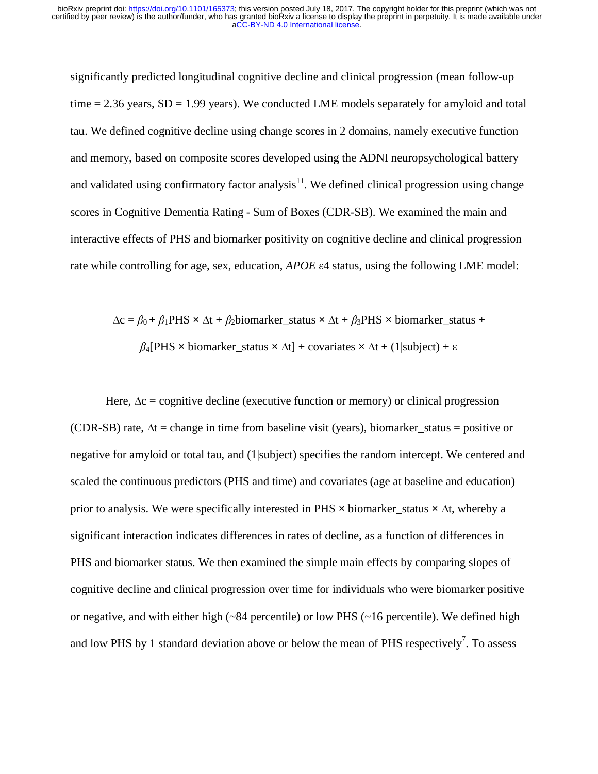significantly predicted longitudinal cognitive decline and clinical progression (mean follow-up time  $= 2.36$  years,  $SD = 1.99$  years). We conducted LME models separately for amyloid and total tau. We defined cognitive decline using change scores in 2 domains, namely executive function and memory, based on composite scores developed using the ADNI neuropsychological battery and validated using confirmatory factor analysis $11$ . We defined clinical progression using change scores in Cognitive Dementia Rating - Sum of Boxes (CDR-SB). We examined the main and interactive effects of PHS and biomarker positivity on cognitive decline and clinical progression rate while controlling for age, sex, education, *APOE* <sup>ε</sup>4 status, using the following LME model:

$$
\Delta c = \beta_0 + \beta_1 PHS \times \Delta t + \beta_2 \text{biomarker\_status} \times \Delta t + \beta_3 PHS \times \text{biomarker\_status} +
$$
  

$$
\beta_4 PHS \times \text{biomarker\_status} \times \Delta t + \text{covariates} \times \Delta t + (1 \text{subject}) + \epsilon
$$

Here,  $\Delta c =$  cognitive decline (executive function or memory) or clinical progression (CDR-SB) rate, ∆t = change in time from baseline visit (years), biomarker\_status = positive or negative for amyloid or total tau, and (1|subject) specifies the random intercept. We centered and scaled the continuous predictors (PHS and time) and covariates (age at baseline and education) prior to analysis. We were specifically interested in PHS  $\times$  biomarker status  $\times \Delta t$ , whereby a significant interaction indicates differences in rates of decline, as a function of differences in PHS and biomarker status. We then examined the simple main effects by comparing slopes of cognitive decline and clinical progression over time for individuals who were biomarker positive or negative, and with either high  $\langle \sim 84$  percentile) or low PHS ( $\sim 16$  percentile). We defined high and low PHS by 1 standard deviation above or below the mean of PHS respectively<sup>7</sup>. To assess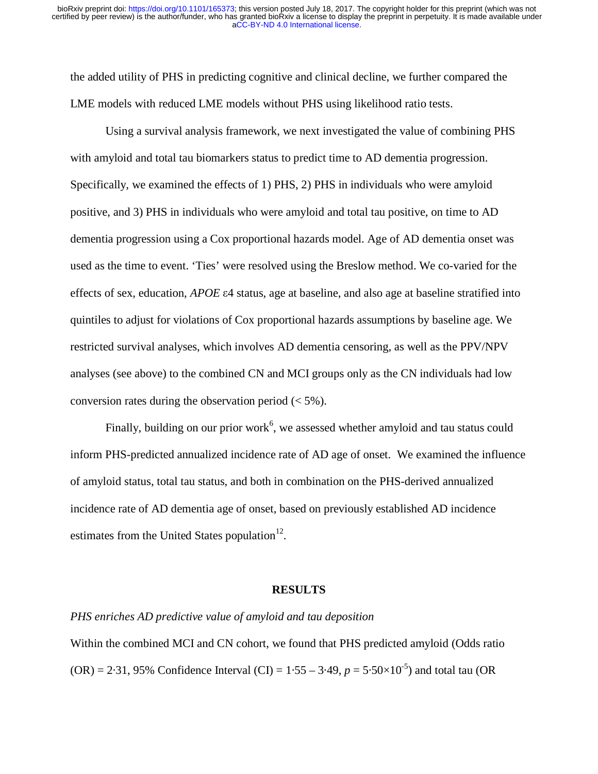the added utility of PHS in predicting cognitive and clinical decline, we further compared the LME models with reduced LME models without PHS using likelihood ratio tests.

Using a survival analysis framework, we next investigated the value of combining PHS with amyloid and total tau biomarkers status to predict time to AD dementia progression. Specifically, we examined the effects of 1) PHS, 2) PHS in individuals who were amyloid positive, and 3) PHS in individuals who were amyloid and total tau positive, on time to AD dementia progression using a Cox proportional hazards model. Age of AD dementia onset was used as the time to event. 'Ties' were resolved using the Breslow method. We co-varied for the effects of sex, education, *APOE* <sup>ε</sup>4 status, age at baseline, and also age at baseline stratified into quintiles to adjust for violations of Cox proportional hazards assumptions by baseline age. We restricted survival analyses, which involves AD dementia censoring, as well as the PPV/NPV analyses (see above) to the combined CN and MCI groups only as the CN individuals had low conversion rates during the observation period  $(< 5\%$ ).

Finally, building on our prior work<sup>6</sup>, we assessed whether amyloid and tau status could inform PHS-predicted annualized incidence rate of AD age of onset. We examined the influence of amyloid status, total tau status, and both in combination on the PHS-derived annualized incidence rate of AD dementia age of onset, based on previously established AD incidence estimates from the United States population $12$ .

#### **RESULTS**

#### *PHS enriches AD predictive value of amyloid and tau deposition*

Within the combined MCI and CN cohort, we found that PHS predicted amyloid (Odds ratio (OR) = 2.31, 95% Confidence Interval (CI) =  $1.55 - 3.49$ ,  $p = 5.50 \times 10^{-5}$ ) and total tau (OR)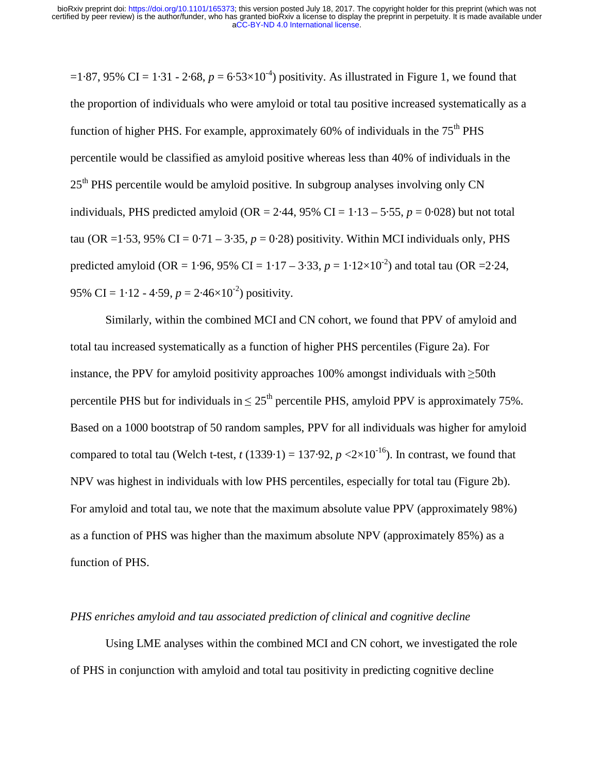$=1.87, 95\% \text{ CI} = 1.31 - 2.68$ ,  $p = 6.53 \times 10^{-4}$ ) positivity. As illustrated in Figure 1, we found that the proportion of individuals who were amyloid or total tau positive increased systematically as a function of higher PHS. For example, approximately  $60\%$  of individuals in the  $75<sup>th</sup>$  PHS percentile would be classified as amyloid positive whereas less than 40% of individuals in the 25<sup>th</sup> PHS percentile would be amyloid positive. In subgroup analyses involving only CN individuals, PHS predicted amyloid (OR =  $2.44$ , 95% CI =  $1.13 - 5.55$ ,  $p = 0.028$ ) but not total tau (OR =1.53, 95% CI =  $0.71 - 3.35$ ,  $p = 0.28$ ) positivity. Within MCI individuals only, PHS predicted amyloid (OR = 1.96, 95% CI =  $1.17 - 3.33$ ,  $p = 1.12 \times 10^{-2}$ ) and total tau (OR = 2.24, 95% CI = 1·12 - 4·59,  $p = 2.46 \times 10^{-2}$ ) positivity.

Similarly, within the combined MCI and CN cohort, we found that PPV of amyloid and total tau increased systematically as a function of higher PHS percentiles (Figure 2a). For instance, the PPV for amyloid positivity approaches 100% amongst individuals with  $\geq$ 50th percentile PHS but for individuals in  $\leq 25^{th}$  percentile PHS, amyloid PPV is approximately 75%. Based on a 1000 bootstrap of 50 random samples, PPV for all individuals was higher for amyloid compared to total tau (Welch t-test,  $t(1339.1) = 137.92$ ,  $p \le 2 \times 10^{-16}$ ). In contrast, we found that NPV was highest in individuals with low PHS percentiles, especially for total tau (Figure 2b). For amyloid and total tau, we note that the maximum absolute value PPV (approximately 98%) as a function of PHS was higher than the maximum absolute NPV (approximately 85%) as a function of PHS.

#### *PHS enriches amyloid and tau associated prediction of clinical and cognitive decline*

Using LME analyses within the combined MCI and CN cohort, we investigated the role of PHS in conjunction with amyloid and total tau positivity in predicting cognitive decline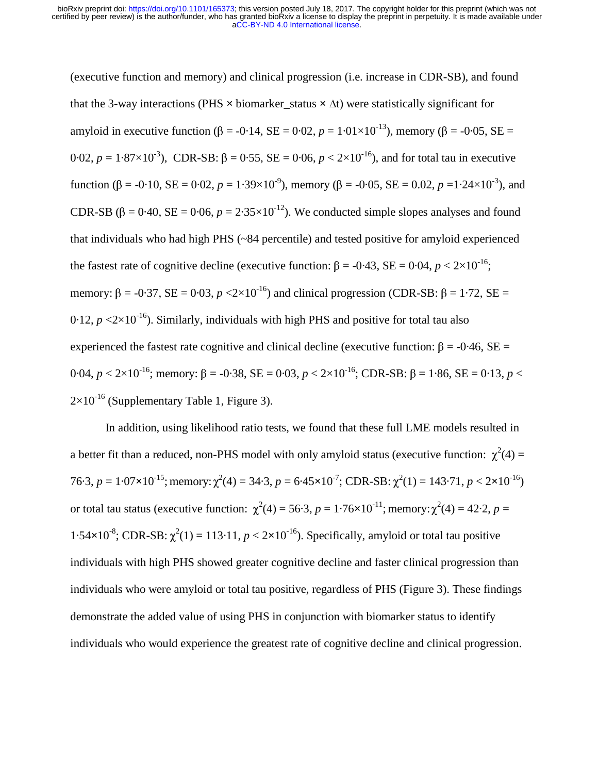(executive function and memory) and clinical progression (i.e. increase in CDR-SB), and found that the 3-way interactions (PHS **×** biomarker\_status **×** ∆t) were statistically significant for amyloid in executive function ( $\beta = -0.14$ ,  $SE = 0.02$ ,  $p = 1.01 \times 10^{-13}$ ), memory ( $\beta = -0.05$ ,  $SE =$ 0·02,  $p = 1.87 \times 10^{-3}$ ), CDR-SB: β = 0·55, SE = 0·06,  $p < 2 \times 10^{-16}$ ), and for total tau in executive function ( $\beta$  = -0·10, SE = 0·02, *p* = 1·39×10<sup>-9</sup>), memory ( $\beta$  = -0·05, SE = 0.02, *p* = 1·24×10<sup>-3</sup>), and CDR-SB ( $\beta = 0.40$ , SE = 0.06,  $p = 2.35 \times 10^{-12}$ ). We conducted simple slopes analyses and found that individuals who had high PHS (~84 percentile) and tested positive for amyloid experienced the fastest rate of cognitive decline (executive function:  $\beta = -0.43$ ,  $SE = 0.04$ ,  $p < 2 \times 10^{-16}$ ; memory:  $\beta = -0.37$ ,  $SE = 0.03$ ,  $p < 2 \times 10^{-16}$ ) and clinical progression (CDR-SB:  $\beta = 1.72$ ,  $SE =$ 0.12,  $p \ll 2 \times 10^{-16}$ ). Similarly, individuals with high PHS and positive for total tau also experienced the fastest rate cognitive and clinical decline (executive function:  $\beta = -0.46$ , SE = 0.04,  $p < 2 \times 10^{-16}$ ; memory:  $\beta = -0.38$ ,  $SE = 0.03$ ,  $p < 2 \times 10^{-16}$ ; CDR-SB:  $\beta = 1.86$ ,  $SE = 0.13$ ,  $p <$  $2\times10^{-16}$  (Supplementary Table 1, Figure 3).

In addition, using likelihood ratio tests, we found that these full LME models resulted in a better fit than a reduced, non-PHS model with only amyloid status (executive function:  $\chi^2(4) =$  $76.3, p = 1.07 \times 10^{-15}$ ; memory:  $\chi^2(4) = 34.3, p = 6.45 \times 10^{-7}$ ; CDR-SB:  $\chi^2(1) = 143.71, p < 2 \times 10^{-16}$ ) or total tau status (executive function:  $\chi^2(4) = 56.3$ ,  $p = 1.76 \times 10^{-11}$ ; memory:  $\chi^2(4) = 42.2$ ,  $p =$ 1.54×10<sup>-8</sup>; CDR-SB:  $\chi^2(1) = 113.11$ ,  $p < 2 \times 10^{-16}$ ). Specifically, amyloid or total tau positive individuals with high PHS showed greater cognitive decline and faster clinical progression than individuals who were amyloid or total tau positive, regardless of PHS (Figure 3). These findings demonstrate the added value of using PHS in conjunction with biomarker status to identify individuals who would experience the greatest rate of cognitive decline and clinical progression.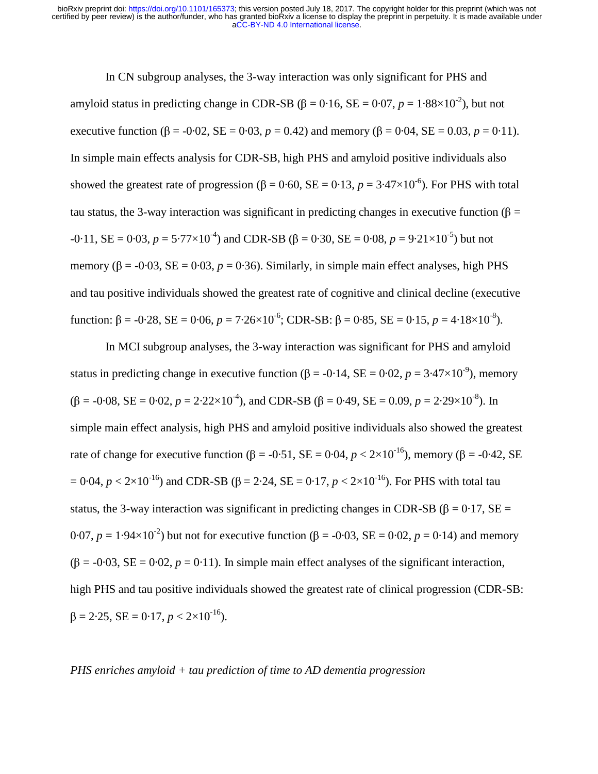In CN subgroup analyses, the 3-way interaction was only significant for PHS and amyloid status in predicting change in CDR-SB ( $\beta = 0.16$ , SE = 0.07,  $p = 1.88 \times 10^{-2}$ ), but not executive function ( $\beta = -0.02$ ,  $SE = 0.03$ ,  $p = 0.42$ ) and memory ( $\beta = 0.04$ ,  $SE = 0.03$ ,  $p = 0.11$ ). In simple main effects analysis for CDR-SB, high PHS and amyloid positive individuals also showed the greatest rate of progression ( $\beta = 0.60$ ,  $SE = 0.13$ ,  $p = 3.47 \times 10^{-6}$ ). For PHS with total tau status, the 3-way interaction was significant in predicting changes in executive function (β =  $-0.11$ ,  $SE = 0.03$ ,  $p = 5.77 \times 10^{-4}$ ) and CDR-SB ( $\beta = 0.30$ ,  $SE = 0.08$ ,  $p = 9.21 \times 10^{-5}$ ) but not memory ( $\beta$  = -0·03, SE = 0·03, *p* = 0·36). Similarly, in simple main effect analyses, high PHS and tau positive individuals showed the greatest rate of cognitive and clinical decline (executive function:  $β = -0.28$ ,  $SE = 0.06$ ,  $p = 7.26 \times 10^{-6}$ ; CDR-SB:  $β = 0.85$ ,  $SE = 0.15$ ,  $p = 4.18 \times 10^{-8}$ ).

 In MCI subgroup analyses, the 3-way interaction was significant for PHS and amyloid status in predicting change in executive function ( $\beta = -0.14$ ,  $SE = 0.02$ ,  $p = 3.47 \times 10^{-9}$ ), memory  $(\beta = -0.08, SE = 0.02, p = 2.22 \times 10^{-4})$ , and CDR-SB  $(\beta = 0.49, SE = 0.09, p = 2.29 \times 10^{-8})$ . In simple main effect analysis, high PHS and amyloid positive individuals also showed the greatest rate of change for executive function ( $\beta = -0.51$ ,  $SE = 0.04$ ,  $p < 2 \times 10^{-16}$ ), memory ( $\beta = -0.42$ , SE  $= 0.04$ ,  $p < 2 \times 10^{-16}$ ) and CDR-SB ( $\beta = 2.24$ , SE = 0.17,  $p < 2 \times 10^{-16}$ ). For PHS with total tau status, the 3-way interaction was significant in predicting changes in CDR-SB ( $\beta = 0.17$ , SE = 0.07,  $p = 1.94 \times 10^{-2}$ ) but not for executive function ( $\beta = -0.03$ ,  $SE = 0.02$ ,  $p = 0.14$ ) and memory  $(\beta = -0.03, \text{SE} = 0.02, p = 0.11)$ . In simple main effect analyses of the significant interaction, high PHS and tau positive individuals showed the greatest rate of clinical progression (CDR-SB:  $β = 2.25$ ,  $SE = 0.17$ ,  $p < 2 \times 10^{-16}$ ).

#### *PHS enriches amyloid + tau prediction of time to AD dementia progression*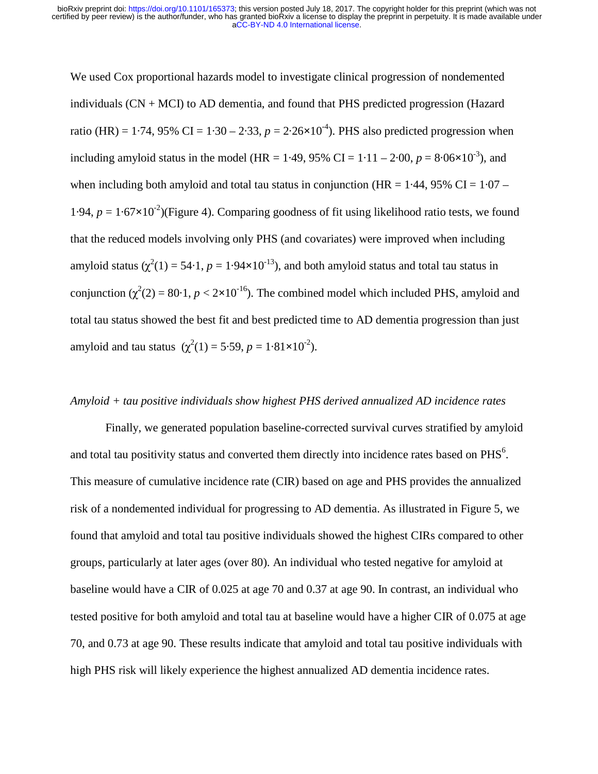We used Cox proportional hazards model to investigate clinical progression of nondemented individuals (CN + MCI) to AD dementia, and found that PHS predicted progression (Hazard ratio (HR) = 1.74, 95% CI = 1.30 – 2.33,  $p = 2.26 \times 10^{-4}$ ). PHS also predicted progression when including amyloid status in the model (HR = 1.49, 95% CI =  $1.11 - 2.00$ ,  $p = 8.06 \times 10^{-3}$ ), and when including both amyloid and total tau status in conjunction (HR =  $1.44$ , 95% CI =  $1.07 -$ 1.94,  $p = 1.67 \times 10^{-2}$ )(Figure 4). Comparing goodness of fit using likelihood ratio tests, we found that the reduced models involving only PHS (and covariates) were improved when including amyloid status  $(\chi^2(1) = 54.1, p = 1.94 \times 10^{-13})$ , and both amyloid status and total tau status in conjunction  $(\chi^2(2) = 80.1, p < 2 \times 10^{-16})$ . The combined model which included PHS, amyloid and total tau status showed the best fit and best predicted time to AD dementia progression than just amyloid and tau status  $(\chi^2(1) = 5.59, p = 1.81 \times 10^{-2})$ .

### *Amyloid + tau positive individuals show highest PHS derived annualized AD incidence rates*

Finally, we generated population baseline-corrected survival curves stratified by amyloid and total tau positivity status and converted them directly into incidence rates based on  $PHS<sup>6</sup>$ . This measure of cumulative incidence rate (CIR) based on age and PHS provides the annualized risk of a nondemented individual for progressing to AD dementia. As illustrated in Figure 5, we found that amyloid and total tau positive individuals showed the highest CIRs compared to other groups, particularly at later ages (over 80). An individual who tested negative for amyloid at baseline would have a CIR of 0.025 at age 70 and 0.37 at age 90. In contrast, an individual who tested positive for both amyloid and total tau at baseline would have a higher CIR of 0.075 at age 70, and 0.73 at age 90. These results indicate that amyloid and total tau positive individuals with high PHS risk will likely experience the highest annualized AD dementia incidence rates.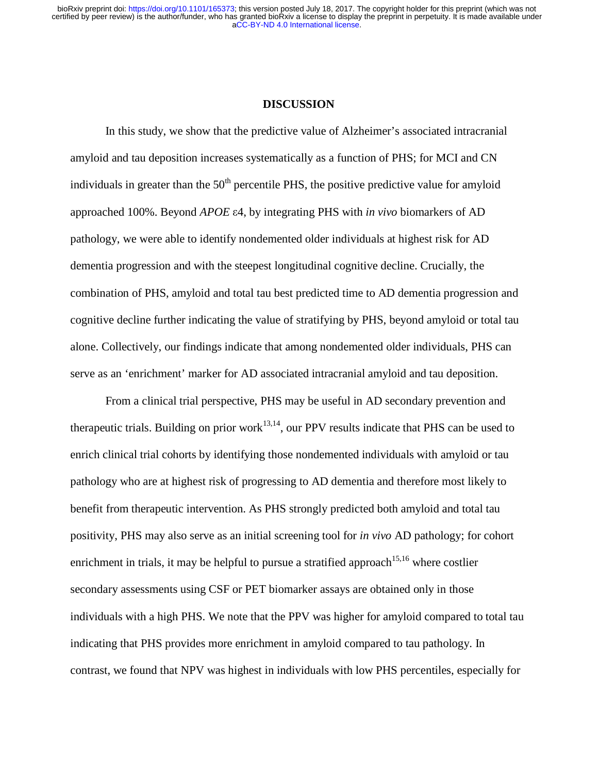#### **DISCUSSION**

In this study, we show that the predictive value of Alzheimer's associated intracranial amyloid and tau deposition increases systematically as a function of PHS; for MCI and CN individuals in greater than the  $50<sup>th</sup>$  percentile PHS, the positive predictive value for amyloid approached 100%. Beyond *APOE* <sup>ε</sup>4, by integrating PHS with *in vivo* biomarkers of AD pathology, we were able to identify nondemented older individuals at highest risk for AD dementia progression and with the steepest longitudinal cognitive decline. Crucially, the combination of PHS, amyloid and total tau best predicted time to AD dementia progression and cognitive decline further indicating the value of stratifying by PHS, beyond amyloid or total tau alone. Collectively, our findings indicate that among nondemented older individuals, PHS can serve as an 'enrichment' marker for AD associated intracranial amyloid and tau deposition.

 From a clinical trial perspective, PHS may be useful in AD secondary prevention and therapeutic trials. Building on prior work<sup>13,14</sup>, our PPV results indicate that PHS can be used to enrich clinical trial cohorts by identifying those nondemented individuals with amyloid or tau pathology who are at highest risk of progressing to AD dementia and therefore most likely to benefit from therapeutic intervention. As PHS strongly predicted both amyloid and total tau positivity, PHS may also serve as an initial screening tool for *in vivo* AD pathology; for cohort enrichment in trials, it may be helpful to pursue a stratified approach<sup>15,16</sup> where costlier secondary assessments using CSF or PET biomarker assays are obtained only in those individuals with a high PHS. We note that the PPV was higher for amyloid compared to total tau indicating that PHS provides more enrichment in amyloid compared to tau pathology. In contrast, we found that NPV was highest in individuals with low PHS percentiles, especially for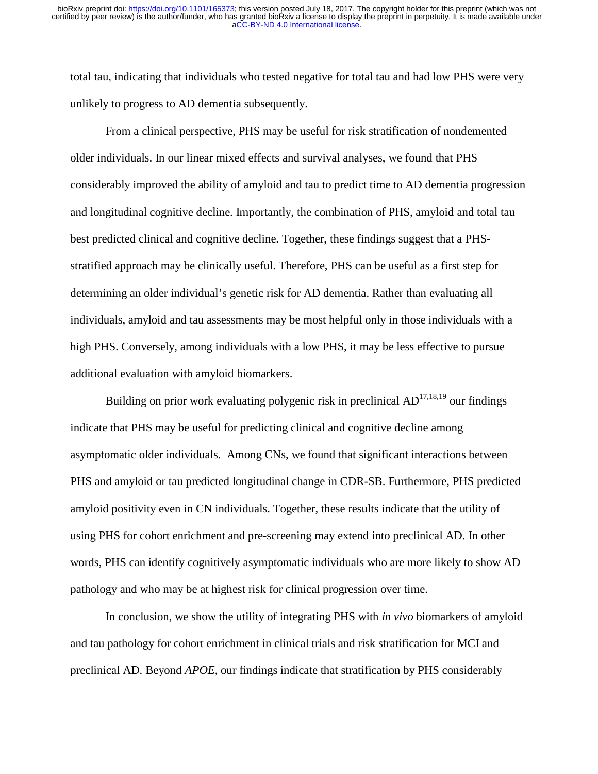total tau, indicating that individuals who tested negative for total tau and had low PHS were very unlikely to progress to AD dementia subsequently.

From a clinical perspective, PHS may be useful for risk stratification of nondemented older individuals. In our linear mixed effects and survival analyses, we found that PHS considerably improved the ability of amyloid and tau to predict time to AD dementia progression and longitudinal cognitive decline. Importantly, the combination of PHS, amyloid and total tau best predicted clinical and cognitive decline. Together, these findings suggest that a PHSstratified approach may be clinically useful. Therefore, PHS can be useful as a first step for determining an older individual's genetic risk for AD dementia. Rather than evaluating all individuals, amyloid and tau assessments may be most helpful only in those individuals with a high PHS. Conversely, among individuals with a low PHS, it may be less effective to pursue additional evaluation with amyloid biomarkers.

Building on prior work evaluating polygenic risk in preclinical  $AD^{17,18,19}$  our findings indicate that PHS may be useful for predicting clinical and cognitive decline among asymptomatic older individuals. Among CNs, we found that significant interactions between PHS and amyloid or tau predicted longitudinal change in CDR-SB. Furthermore, PHS predicted amyloid positivity even in CN individuals. Together, these results indicate that the utility of using PHS for cohort enrichment and pre-screening may extend into preclinical AD. In other words, PHS can identify cognitively asymptomatic individuals who are more likely to show AD pathology and who may be at highest risk for clinical progression over time.

In conclusion, we show the utility of integrating PHS with *in vivo* biomarkers of amyloid and tau pathology for cohort enrichment in clinical trials and risk stratification for MCI and preclinical AD. Beyond *APOE*, our findings indicate that stratification by PHS considerably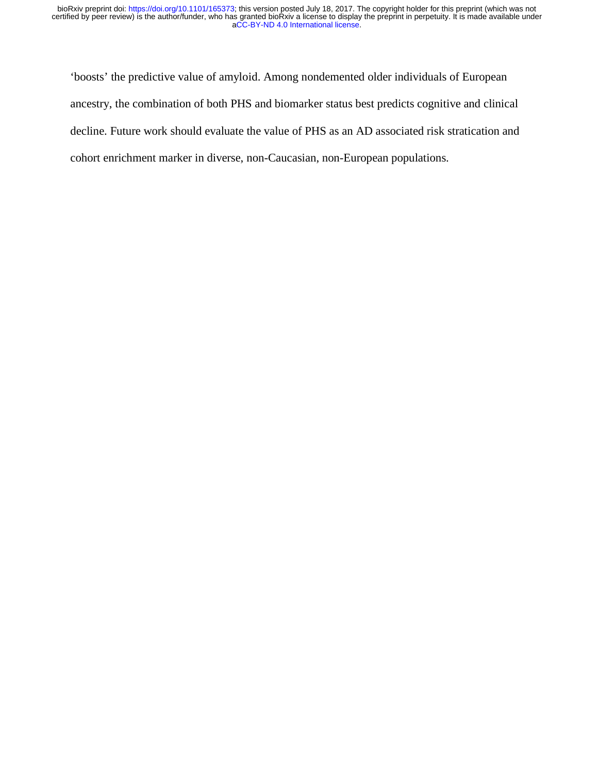'boosts' the predictive value of amyloid. Among nondemented older individuals of European ancestry, the combination of both PHS and biomarker status best predicts cognitive and clinical decline. Future work should evaluate the value of PHS as an AD associated risk stratication and cohort enrichment marker in diverse, non-Caucasian, non-European populations.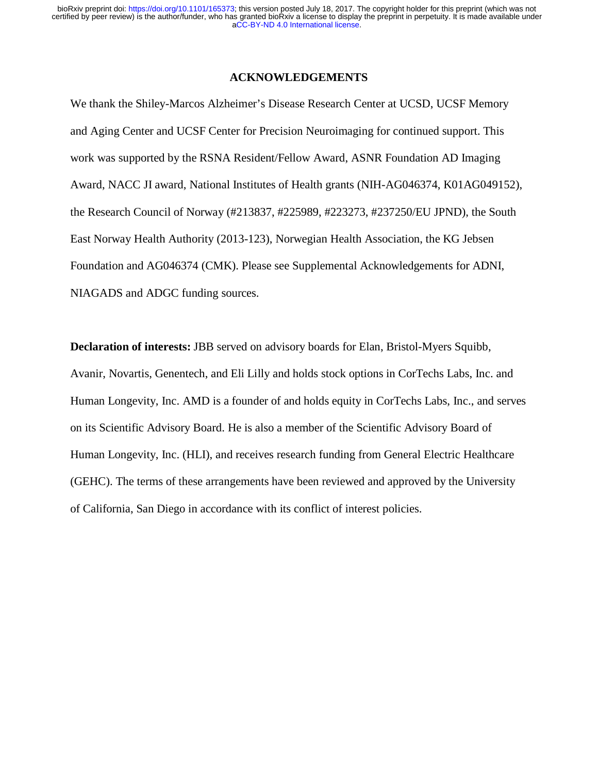# **ACKNOWLEDGEMENTS**

We thank the Shiley-Marcos Alzheimer's Disease Research Center at UCSD, UCSF Memory and Aging Center and UCSF Center for Precision Neuroimaging for continued support. This work was supported by the RSNA Resident/Fellow Award, ASNR Foundation AD Imaging Award, NACC JI award, National Institutes of Health grants (NIH-AG046374, K01AG049152), the Research Council of Norway (#213837, #225989, #223273, #237250/EU JPND), the South East Norway Health Authority (2013-123), Norwegian Health Association, the KG Jebsen Foundation and AG046374 (CMK). Please see Supplemental Acknowledgements for ADNI, NIAGADS and ADGC funding sources.

**Declaration of interests:** JBB served on advisory boards for Elan, Bristol-Myers Squibb, Avanir, Novartis, Genentech, and Eli Lilly and holds stock options in CorTechs Labs, Inc. and Human Longevity, Inc. AMD is a founder of and holds equity in CorTechs Labs, Inc., and serves on its Scientific Advisory Board. He is also a member of the Scientific Advisory Board of Human Longevity, Inc. (HLI), and receives research funding from General Electric Healthcare (GEHC). The terms of these arrangements have been reviewed and approved by the University of California, San Diego in accordance with its conflict of interest policies.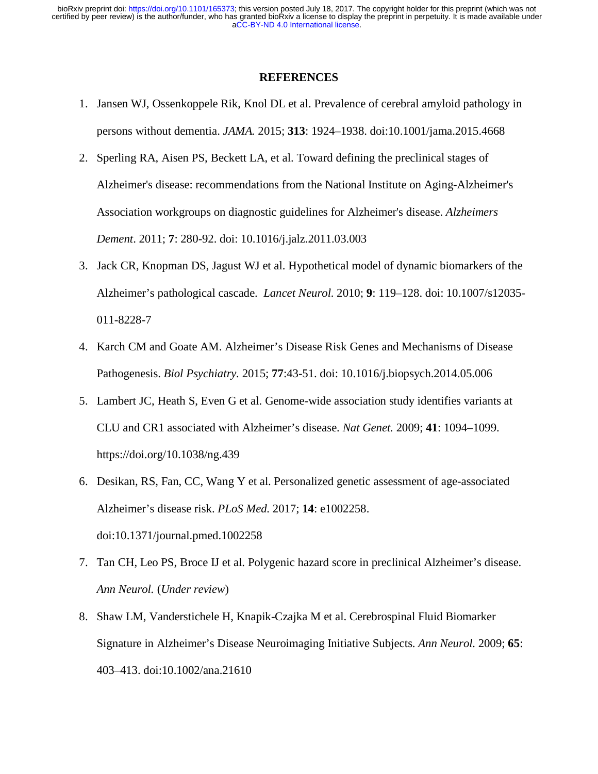## **REFERENCES**

- 1. Jansen WJ, Ossenkoppele Rik, Knol DL et al. Prevalence of cerebral amyloid pathology in persons without dementia. *JAMA.* 2015; **313**: 1924–1938. doi:10.1001/jama.2015.4668
- 2. Sperling RA, Aisen PS, Beckett LA, et al. Toward defining the preclinical stages of Alzheimer's disease: recommendations from the National Institute on Aging-Alzheimer's Association workgroups on diagnostic guidelines for Alzheimer's disease. *Alzheimers Dement*. 2011; **7**: 280-92. doi: 10.1016/j.jalz.2011.03.003
- 3. Jack CR, Knopman DS, Jagust WJ et al. Hypothetical model of dynamic biomarkers of the Alzheimer's pathological cascade. *Lancet Neurol.* 2010; **9**: 119–128. doi: 10.1007/s12035- 011-8228-7
- 4. Karch CM and Goate AM. Alzheimer's Disease Risk Genes and Mechanisms of Disease Pathogenesis. *Biol Psychiatry.* 2015; **77**:43-51. doi: 10.1016/j.biopsych.2014.05.006
- 5. Lambert JC, Heath S, Even G et al. Genome-wide association study identifies variants at CLU and CR1 associated with Alzheimer's disease. *Nat Genet.* 2009; **41**: 1094–1099. https://doi.org/10.1038/ng.439
- 6. Desikan, RS, Fan, CC, Wang Y et al. Personalized genetic assessment of age-associated Alzheimer's disease risk. *PLoS Med.* 2017; **14**: e1002258. doi:10.1371/journal.pmed.1002258
- 7. Tan CH, Leo PS, Broce IJ et al. Polygenic hazard score in preclinical Alzheimer's disease. *Ann Neurol.* (*Under review*)
- 8. Shaw LM, Vanderstichele H, Knapik-Czajka M et al. Cerebrospinal Fluid Biomarker Signature in Alzheimer's Disease Neuroimaging Initiative Subjects. *Ann Neurol.* 2009; **65**: 403–413. doi:10.1002/ana.21610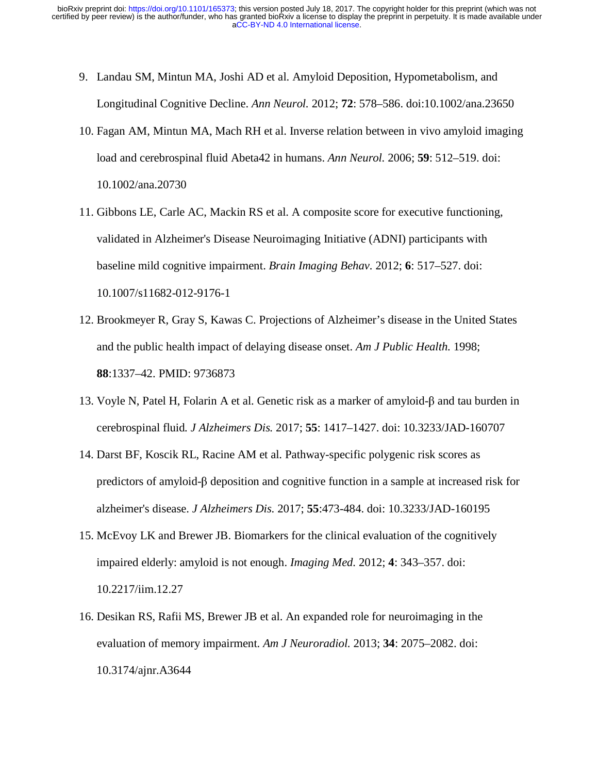- 9. Landau SM, Mintun MA, Joshi AD et al. Amyloid Deposition, Hypometabolism, and Longitudinal Cognitive Decline. *Ann Neurol.* 2012; **72**: 578–586. doi:10.1002/ana.23650
- 10. Fagan AM, Mintun MA, Mach RH et al. Inverse relation between in vivo amyloid imaging load and cerebrospinal fluid Abeta42 in humans. *Ann Neurol.* 2006; **59**: 512–519. doi: 10.1002/ana.20730
- 11. Gibbons LE, Carle AC, Mackin RS et al. A composite score for executive functioning, validated in Alzheimer's Disease Neuroimaging Initiative (ADNI) participants with baseline mild cognitive impairment. *Brain Imaging Behav.* 2012; **6**: 517–527. doi: 10.1007/s11682-012-9176-1
- 12. Brookmeyer R, Gray S, Kawas C. Projections of Alzheimer's disease in the United States and the public health impact of delaying disease onset. *Am J Public Health.* 1998; **88**:1337–42. PMID: 9736873
- 13. Voyle N, Patel H, Folarin A et al. Genetic risk as a marker of amyloid-β and tau burden in cerebrospinal fluid*. J Alzheimers Dis.* 2017; **55**: 1417–1427. doi: 10.3233/JAD-160707
- 14. Darst BF, Koscik RL, Racine AM et al. Pathway-specific polygenic risk scores as predictors of amyloid-β deposition and cognitive function in a sample at increased risk for alzheimer's disease. *J Alzheimers Dis.* 2017; **55**:473-484. doi: 10.3233/JAD-160195
- 15. McEvoy LK and Brewer JB. Biomarkers for the clinical evaluation of the cognitively impaired elderly: amyloid is not enough. *Imaging Med.* 2012; **4**: 343–357. doi: 10.2217/iim.12.27
- 16. Desikan RS, Rafii MS, Brewer JB et al. An expanded role for neuroimaging in the evaluation of memory impairment. *Am J Neuroradiol.* 2013; **34**: 2075–2082. doi: 10.3174/ajnr.A3644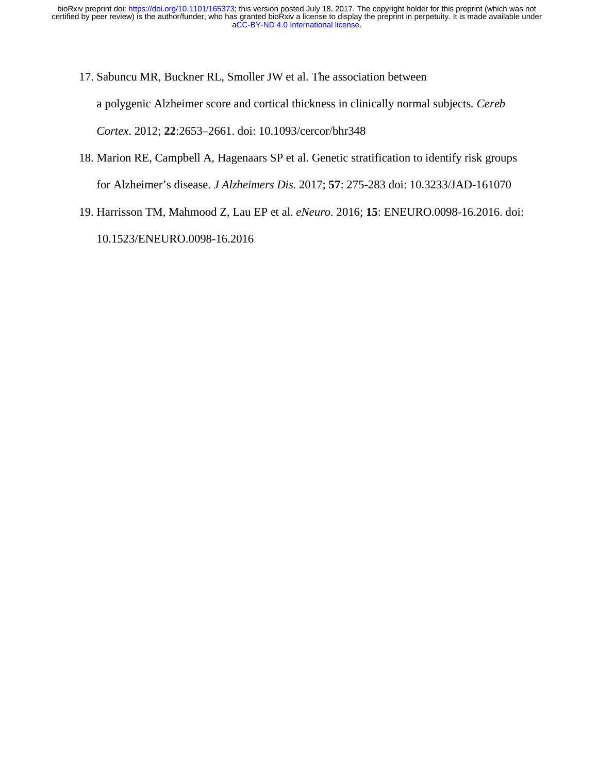- 17. Sabuncu MR, Buckner RL, Smoller JW et al. The association between a polygenic Alzheimer score and cortical thickness in clinically normal subjects*. Cereb Cortex*. 2012; **22**:2653–2661. doi: 10.1093/cercor/bhr348
- 18. Marion RE, Campbell A, Hagenaars SP et al. Genetic stratification to identify risk groups for Alzheimer's disease. *J Alzheimers Dis.* 2017; **57**: 275-283 doi: 10.3233/JAD-161070
- 19. Harrisson TM, Mahmood Z, Lau EP et al. *eNeuro.* 2016; **15**: ENEURO.0098-16.2016. doi:

10.1523/ENEURO.0098-16.2016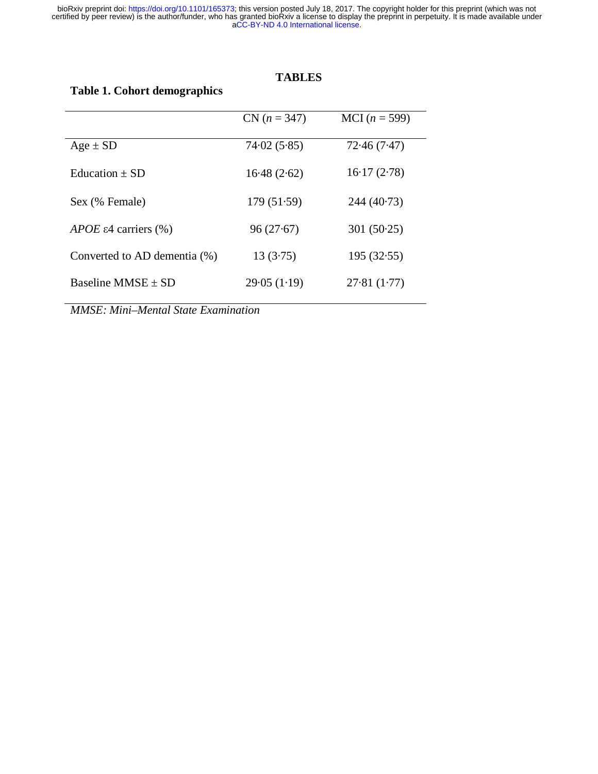# **TABLES**

# **Table 1. Cohort demographics**

|                                      | $CN (n = 347)$ | MCI $(n = 599)$ |
|--------------------------------------|----------------|-----------------|
| $Age \pm SD$                         | 74.02(5.85)    | 72.46 (7.47)    |
| Education $+$ SD                     | 16.48(2.62)    | 16.17(2.78)     |
| Sex (% Female)                       | 179(51.59)     | 244 (40.73)     |
| APOE $\varepsilon$ 4 carriers $(\%)$ | 96(27.67)      | 301(50.25)      |
| Converted to AD dementia (%)         | 13(3.75)       | 195(32.55)      |
| Baseline MMSE $\pm$ SD               | 29.05(1.19)    | 27.81(1.77)     |

*MMSE: Mini–Mental State Examination*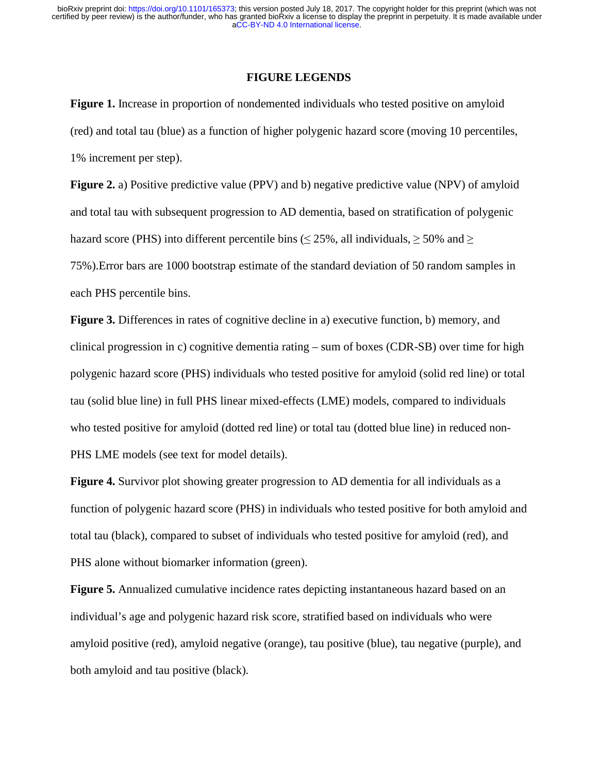# **FIGURE LEGENDS**

**Figure 1.** Increase in proportion of nondemented individuals who tested positive on amyloid (red) and total tau (blue) as a function of higher polygenic hazard score (moving 10 percentiles, 1% increment per step).

**Figure 2.** a) Positive predictive value (PPV) and b) negative predictive value (NPV) of amyloid and total tau with subsequent progression to AD dementia, based on stratification of polygenic hazard score (PHS) into different percentile bins ( $\leq$  25%, all individuals,  $\geq$  50% and  $\geq$ 75%).Error bars are 1000 bootstrap estimate of the standard deviation of 50 random samples in each PHS percentile bins.

**Figure 3.** Differences in rates of cognitive decline in a) executive function, b) memory, and clinical progression in c) cognitive dementia rating – sum of boxes (CDR-SB) over time for high polygenic hazard score (PHS) individuals who tested positive for amyloid (solid red line) or total tau (solid blue line) in full PHS linear mixed-effects (LME) models, compared to individuals who tested positive for amyloid (dotted red line) or total tau (dotted blue line) in reduced non-PHS LME models (see text for model details).

**Figure 4.** Survivor plot showing greater progression to AD dementia for all individuals as a function of polygenic hazard score (PHS) in individuals who tested positive for both amyloid and total tau (black), compared to subset of individuals who tested positive for amyloid (red), and PHS alone without biomarker information (green).

**Figure 5.** Annualized cumulative incidence rates depicting instantaneous hazard based on an individual's age and polygenic hazard risk score, stratified based on individuals who were amyloid positive (red), amyloid negative (orange), tau positive (blue), tau negative (purple), and both amyloid and tau positive (black).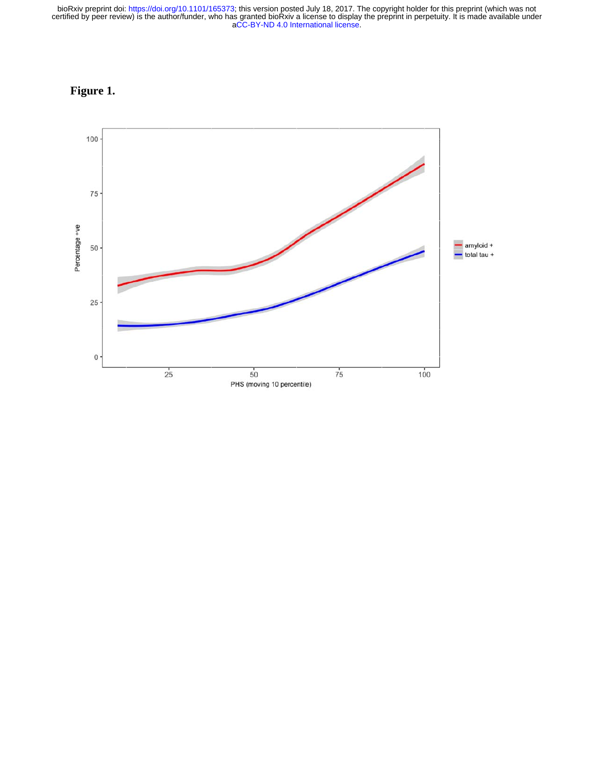**Figure 1.** 

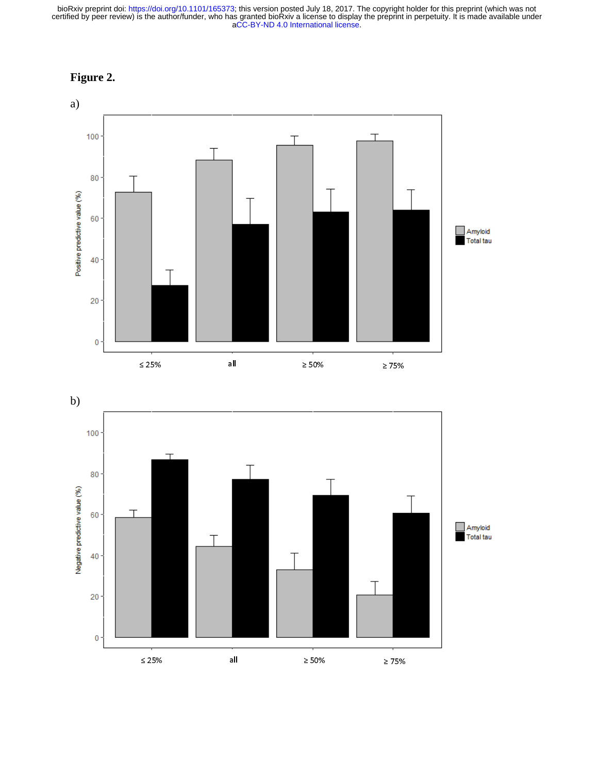



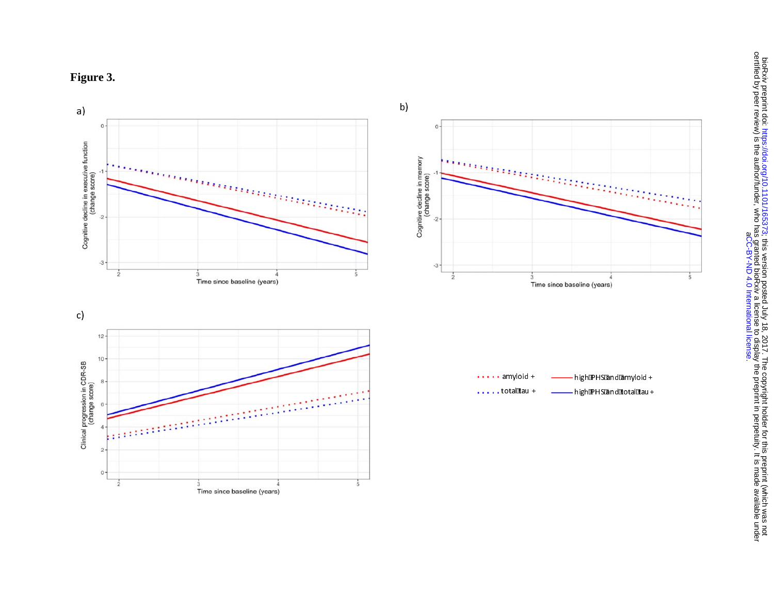







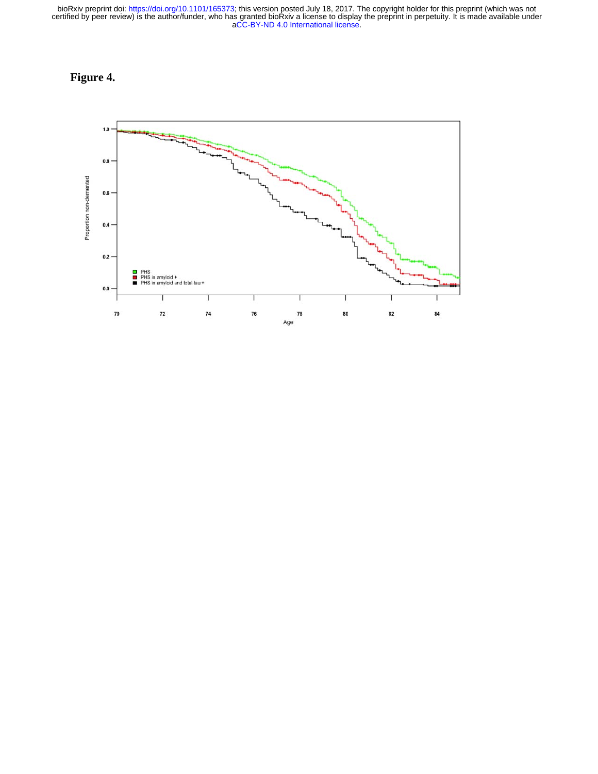

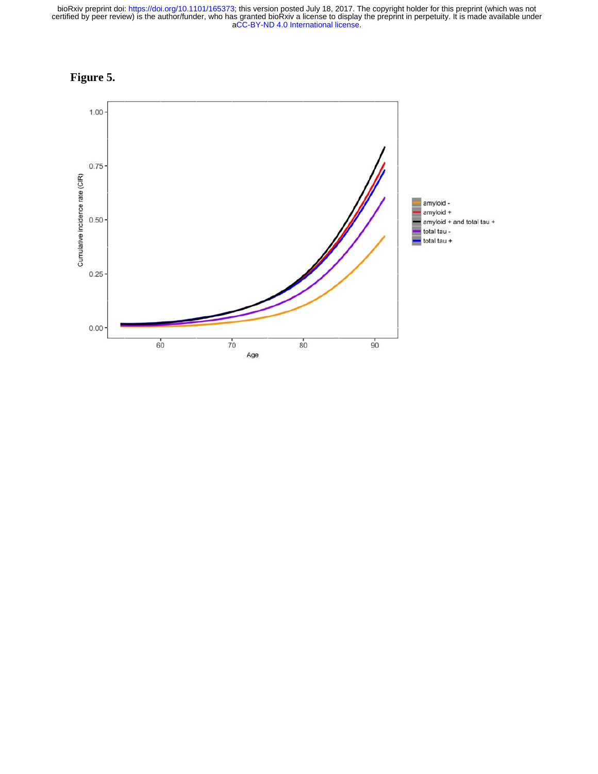

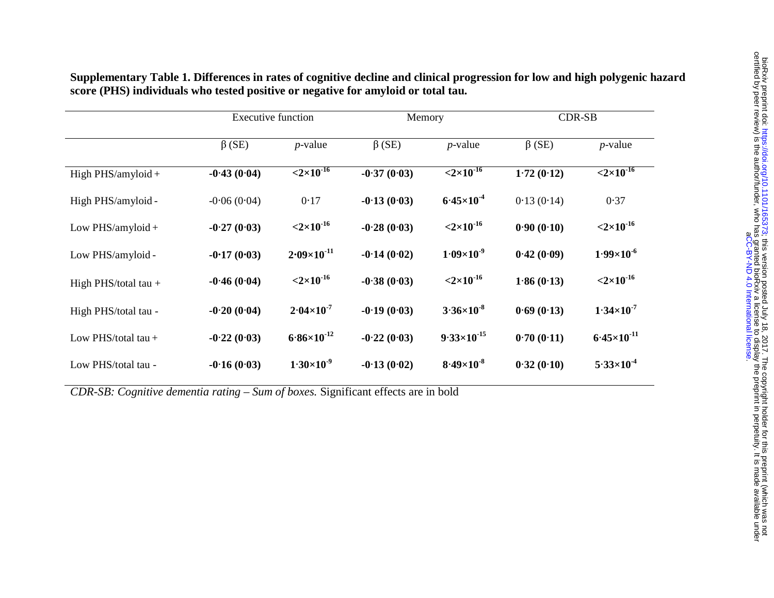|                        | <b>Executive function</b> |                       | Memory        |                       | <b>CDR-SB</b> |                       |
|------------------------|---------------------------|-----------------------|---------------|-----------------------|---------------|-----------------------|
|                        | $\beta$ (SE)              | $p$ -value            | $\beta$ (SE)  | $p$ -value            | $\beta$ (SE)  | $p$ -value            |
| High PHS/amyloid +     | $-0.43(0.04)$             | $< 2 \times 10^{-16}$ | $-0.37(0.03)$ | $< 2 \times 10^{-16}$ | 1.72(0.12)    | $< 2 \times 10^{-16}$ |
| High PHS/amyloid -     | $-0.06(0.04)$             | 0.17                  | $-0.13(0.03)$ | $6.45 \times 10^{-4}$ | 0.13(0.14)    | 0.37                  |
| Low PHS/amyloid $+$    | $-0.27(0.03)$             | $< 2 \times 10^{-16}$ | $-0.28(0.03)$ | $<2\times10^{-16}$    | 0.90(0.10)    | $< 2 \times 10^{-16}$ |
| Low PHS/amyloid -      | $-0.17(0.03)$             | $2.09\times10^{-11}$  | $-0.14(0.02)$ | $1.09\times10^{-9}$   | 0.42(0.09)    | $1.99\times10^{-6}$   |
| High PHS/total tau $+$ | $-0.46(0.04)$             | $< 2 \times 10^{-16}$ | $-0.38(0.03)$ | $< 2 \times 10^{-16}$ | 1.86(0.13)    | $< 2 \times 10^{-16}$ |
| High PHS/total tau -   | $-0.20(0.04)$             | $2.04\times10^{-7}$   | $-0.19(0.03)$ | $3.36\times10^{-8}$   | 0.69(0.13)    | $1.34 \times 10^{-7}$ |
| Low PHS/total tau $+$  | $-0.22(0.03)$             | $6.86\times10^{-12}$  | $-0.22(0.03)$ | $9.33\times10^{-15}$  | 0.70(0.11)    | $6.45\times10^{-11}$  |
| Low PHS/total tau -    | $-0.16(0.03)$             | $1.30\times10^{-9}$   | $-0.13(0.02)$ | $8.49\times10^{-8}$   | 0.32(0.10)    | $5.33 \times 10^{-4}$ |

**Supplementary Table 1. Differences in rates of cognitive decline and clinical progression for low and high polygenic hazard score (PHS) individuals who tested positive or negative for amyloid or total tau.** 

*CDR-SB: Cognitive dementia rating – Sum of boxes.* Significant effects are in bold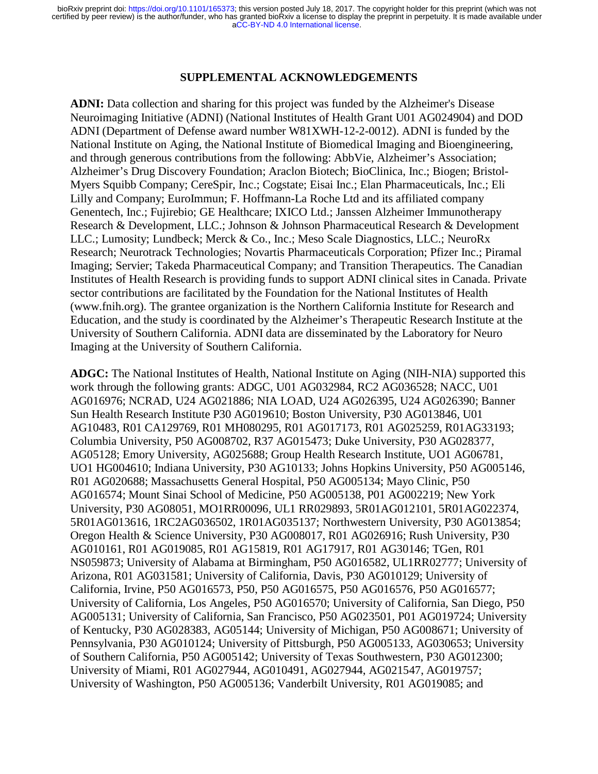# **SUPPLEMENTAL ACKNOWLEDGEMENTS**

**ADNI:** Data collection and sharing for this project was funded by the Alzheimer's Disease Neuroimaging Initiative (ADNI) (National Institutes of Health Grant U01 AG024904) and DOD ADNI (Department of Defense award number W81XWH-12-2-0012). ADNI is funded by the National Institute on Aging, the National Institute of Biomedical Imaging and Bioengineering, and through generous contributions from the following: AbbVie, Alzheimer's Association; Alzheimer's Drug Discovery Foundation; Araclon Biotech; BioClinica, Inc.; Biogen; Bristol-Myers Squibb Company; CereSpir, Inc.; Cogstate; Eisai Inc.; Elan Pharmaceuticals, Inc.; Eli Lilly and Company; EuroImmun; F. Hoffmann-La Roche Ltd and its affiliated company Genentech, Inc.; Fujirebio; GE Healthcare; IXICO Ltd.; Janssen Alzheimer Immunotherapy Research & Development, LLC.; Johnson & Johnson Pharmaceutical Research & Development LLC.; Lumosity; Lundbeck; Merck & Co., Inc.; Meso Scale Diagnostics, LLC.; NeuroRx Research; Neurotrack Technologies; Novartis Pharmaceuticals Corporation; Pfizer Inc.; Piramal Imaging; Servier; Takeda Pharmaceutical Company; and Transition Therapeutics. The Canadian Institutes of Health Research is providing funds to support ADNI clinical sites in Canada. Private sector contributions are facilitated by the Foundation for the National Institutes of Health (www.fnih.org). The grantee organization is the Northern California Institute for Research and Education, and the study is coordinated by the Alzheimer's Therapeutic Research Institute at the University of Southern California. ADNI data are disseminated by the Laboratory for Neuro Imaging at the University of Southern California.

**ADGC:** The National Institutes of Health, National Institute on Aging (NIH-NIA) supported this work through the following grants: ADGC, U01 AG032984, RC2 AG036528; NACC, U01 AG016976; NCRAD, U24 AG021886; NIA LOAD, U24 AG026395, U24 AG026390; Banner Sun Health Research Institute P30 AG019610; Boston University, P30 AG013846, U01 AG10483, R01 CA129769, R01 MH080295, R01 AG017173, R01 AG025259, R01AG33193; Columbia University, P50 AG008702, R37 AG015473; Duke University, P30 AG028377, AG05128; Emory University, AG025688; Group Health Research Institute, UO1 AG06781, UO1 HG004610; Indiana University, P30 AG10133; Johns Hopkins University, P50 AG005146, R01 AG020688; Massachusetts General Hospital, P50 AG005134; Mayo Clinic, P50 AG016574; Mount Sinai School of Medicine, P50 AG005138, P01 AG002219; New York University, P30 AG08051, MO1RR00096, UL1 RR029893, 5R01AG012101, 5R01AG022374, 5R01AG013616, 1RC2AG036502, 1R01AG035137; Northwestern University, P30 AG013854; Oregon Health & Science University, P30 AG008017, R01 AG026916; Rush University, P30 AG010161, R01 AG019085, R01 AG15819, R01 AG17917, R01 AG30146; TGen, R01 NS059873; University of Alabama at Birmingham, P50 AG016582, UL1RR02777; University of Arizona, R01 AG031581; University of California, Davis, P30 AG010129; University of California, Irvine, P50 AG016573, P50, P50 AG016575, P50 AG016576, P50 AG016577; University of California, Los Angeles, P50 AG016570; University of California, San Diego, P50 AG005131; University of California, San Francisco, P50 AG023501, P01 AG019724; University of Kentucky, P30 AG028383, AG05144; University of Michigan, P50 AG008671; University of Pennsylvania, P30 AG010124; University of Pittsburgh, P50 AG005133, AG030653; University of Southern California, P50 AG005142; University of Texas Southwestern, P30 AG012300; University of Miami, R01 AG027944, AG010491, AG027944, AG021547, AG019757; University of Washington, P50 AG005136; Vanderbilt University, R01 AG019085; and